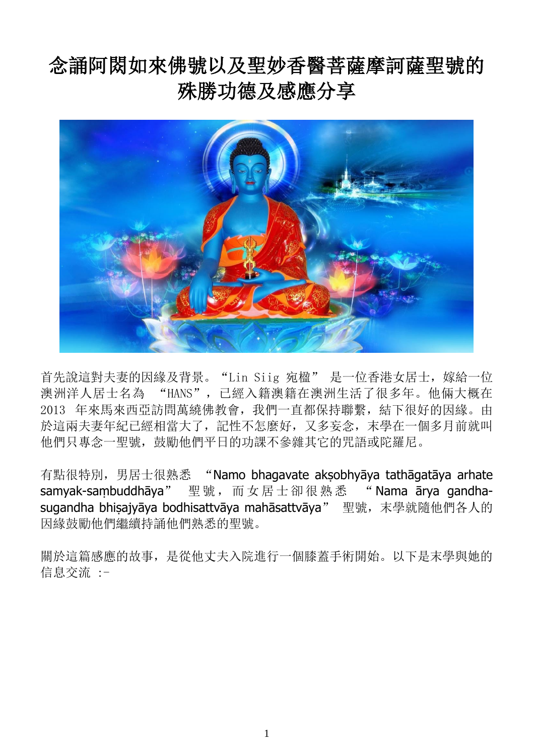## 念誦阿閦如來佛號以及聖妙香醫菩薩摩訶薩聖號的 殊勝功德及感應分享



首先說這對夫妻的因緣及背景。"Lin Siig 宛楹" 是一位香港女居士,嫁給一位 澳洲洋人居士名為 "HANS",已經入籍澳籍在澳洲生活了很多年。他倆大概在 2013 年來馬來西亞訪問萬繞佛教會,我們一直都保持聯繫,結下很好的因緣。由 於這兩夫妻年紀已經相當大了,記性不怎麼好,又多妄念,末學在一個多月前就叫 他們只專念一聖號,鼓勵他們平日的功課不參雜其它的咒語或陀羅尼。

有點很特別, 男居士很熟悉 "Namo bhagavate aksobhyāya tathāgatāya arhate samyak-saṃbuddhāya" 聖號, 而女居士卻很熟悉 "Nama ārya gandhasugandha bhisajyāya bodhisattvāya mahāsattvāya" 聖號, 末學就隨他們各人的 因緣鼓勵他們繼續持誦他們熟悉的聖號。

關於這篇感應的故事,是從他丈夫入院進行一個膝蓋手術開始。以下是末學與她的 信息交流 :-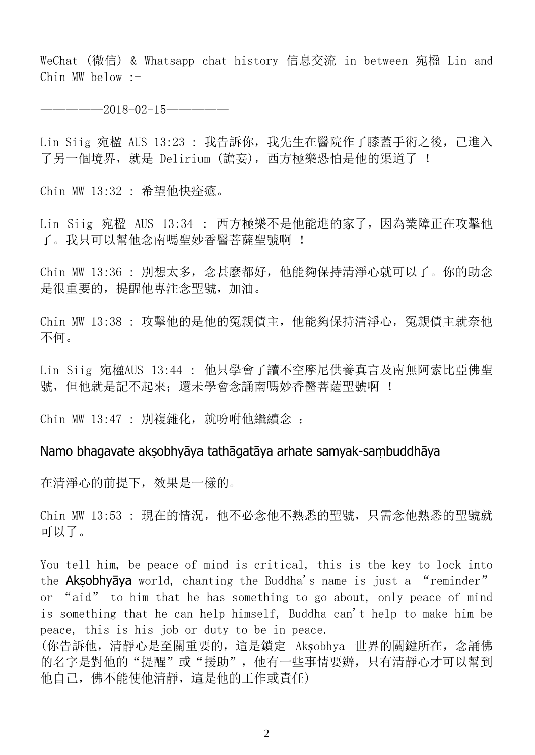WeChat (微信) & Whatsapp chat history 信息交流 in between 宛楹 Lin and Chin MW below  $:-$ 

—————2018-02-15—————

Lin Siig 宛楹 AUS 13:23 : 我告訴你,我先生在醫院作了膝蓋手術之後,己進入 了另一個境界,就是 Delirium (譫妄),西方極樂恐怕是他的渠道了 !

Chin MW 13:32 : 希望他快痊癒。

Lin Siig 宛楹 AUS 13:34 : 西方極樂不是他能進的家了,因為業障正在攻擊他 了。我只可以幫他念南嗎聖妙香醫菩薩聖號啊 !

Chin MW 13:36 : 別想太多,念甚麼都好,他能夠保持清淨心就可以了。你的助念 是很重要的,提醒他專注念聖號,加油。

Chin MW 13:38 : 攻擊他的是他的冤親債主,他能夠保持清淨心,冤親債主就奈他 不何。

Lin Siig 宛楹AUS 13:44 : 他只學會了讀不空摩尼供養真言及南無阿索比亞佛聖 號,但他就是記不起來;還未學會念誦南嗎妙香醫菩薩聖號啊 !

Chin MW 13:47 : 別複雜化, 就吩咐他繼續念 :

## Namo bhagavate akṣobhyāya tathāgatāya arhate samyak-saṃbuddhāya

在清淨心的前提下,效果是一樣的。

Chin MW 13:53 : 現在的情況, 他不必念他不熟悉的聖號, 只需念他熟悉的聖號就 可以了。

You tell him, be peace of mind is critical, this is the key to lock into the **Aksobhyāya** world, chanting the Buddha's name is just a "reminder" or "aid" to him that he has something to go about, only peace of mind is something that he can help himself, Buddha can't help to make him be peace, this is his job or duty to be in peace. (你告訴他,清靜心是至關重要的,這是鎖定 Akṣobhya 世界的關鍵所在,念誦佛

的名字是對他的"提醒"或"援助",他有一些事情要辦,只有清靜心才可以幫到 他自己,佛不能使他清靜,這是他的工作或責任)

2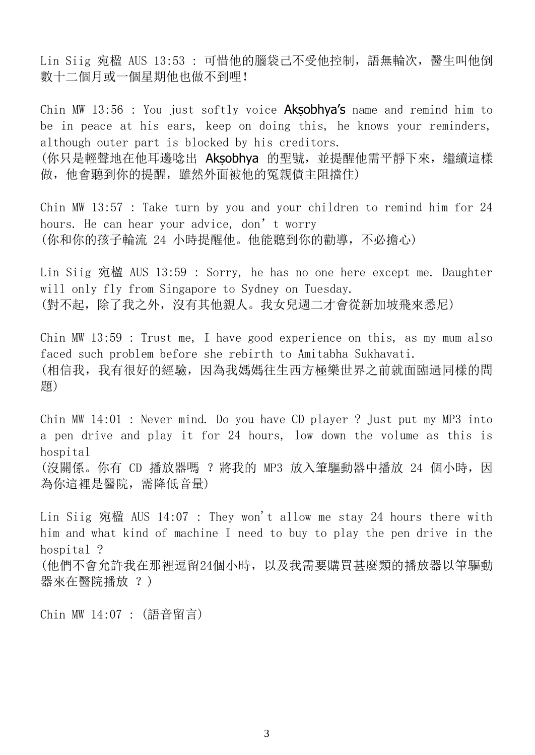Lin Siig 宛楹 AUS 13:53 : 可惜他的腦袋己不受他控制,語無輪次,醫生叫他倒 數十二個月或一個星期他也做不到哩!

Chin MW 13:56 : You just softly voice **Aksobhya's** name and remind him to be in peace at his ears, keep on doing this, he knows your reminders, although outer part is blocked by his creditors. (你只是輕聲地在他耳邊唸出 Aksobhya 的聖號, 並提醒他需平靜下來, 繼續這樣 做,他會聽到你的提醒,雖然外面被他的冤親債主阻擋住)

Chin MW 13:57 : Take turn by you and your children to remind him for 24 hours. He can hear your advice, don't worry (你和你的孩子輪流 24 小時提醒他。他能聽到你的勸導,不必擔心)

Lin Siig 宛楹 AUS 13:59 : Sorry, he has no one here except me. Daughter will only fly from Singapore to Sydney on Tuesday. (對不起,除了我之外,沒有其他親人。我女兒週二才會從新加坡飛來悉尼)

Chin MW 13:59 : Trust me, I have good experience on this, as my mum also faced such problem before she rebirth to Amitabha Sukhavati. (相信我,我有很好的經驗,因為我媽媽往生西方極樂世界之前就面臨過同樣的問 題)

Chin MW 14:01 : Never mind. Do you have CD player ? Just put my MP3 into a pen drive and play it for 24 hours, low down the volume as this is hospital (沒關係。你有 CD 播放器嗎 ? 將我的 MP3 放入筆驅動器中播放 24 個小時, 因 為你這裡是醫院,需降低音量)

Lin Siig 宛楹 AUS 14:07 : They won't allow me stay 24 hours there with him and what kind of machine I need to buy to play the pen drive in the hospital ? (他們不會允許我在那裡逗留24個小時,以及我需要購買甚麼類的播放器以筆驅動 器來在醫院播放 ?)

Chin MW 14:07 : (語音留言)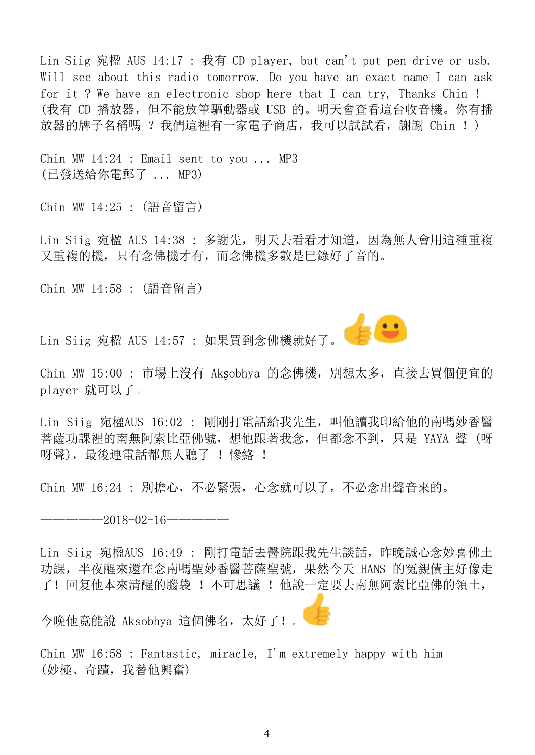Lin Siig 宛楹 AUS 14:17 : 我有 CD player, but can't put pen drive or usb. Will see about this radio tomorrow. Do you have an exact name I can ask for it ? We have an electronic shop here that I can try, Thanks Chin ! (我有 CD 播放器,但不能放筆驅動器或 USB 的。明天會查看這台收音機。你有播 放器的牌子名稱嗎 ? 我們這裡有一家電子商店, 我可以試試看, 謝謝 Chin ! )

Chin MW 14:24 : Email sent to you ... MP3 (已發送給你電郵了 ... MP3)

Chin MW 14:25 : (語音留言)

Lin Siig 宛楹 AUS 14:38 : 多謝先,明天去看看才知道,因為無人會用這種重複 又重複的機,只有念佛機才有,而念佛機多數是巳錄好了音的。

Chin MW 14:58 : (語音留言)

Lin Siig 宛楹 AUS 14:57 : 如果買到念佛機就好了。

Chin MW 15:00 : 市場上沒有 Aksobhya 的念佛機, 別想太多, 直接去買個便宜的 player 就可以了。

 $E$ 

Lin Siig 宛楹AUS 16:02 : 剛剛打電話給我先生,叫他讀我印給他的南嗎妙香醫 菩薩功課裡的南無阿索比亞佛號,想他跟著我念,但都念不到,只是 YAYA 聲 (呀 呀聲), 最後連電話都無人聽了 ! 慘絡 !

Chin MW 16:24 : 別擔心,不必緊張,心念就可以了,不必念出聲音來的。

 $-2018-02-16$ ————

Lin Siig 宛楹AUS 16:49 : 剛打電話去醫院跟我先生談話,昨晚誠心念妙喜佛土 功課,半夜醒來還在念南嗎聖妙香醫菩薩聖號,果然今天 HANS 的冤親債主好像走 了!回复他本來清醒的腦袋 !不可思議 !他說一定要去南無阿索比亞佛的領土,

今晚他竟能說 Aksobhya 這個佛名,太好了!。

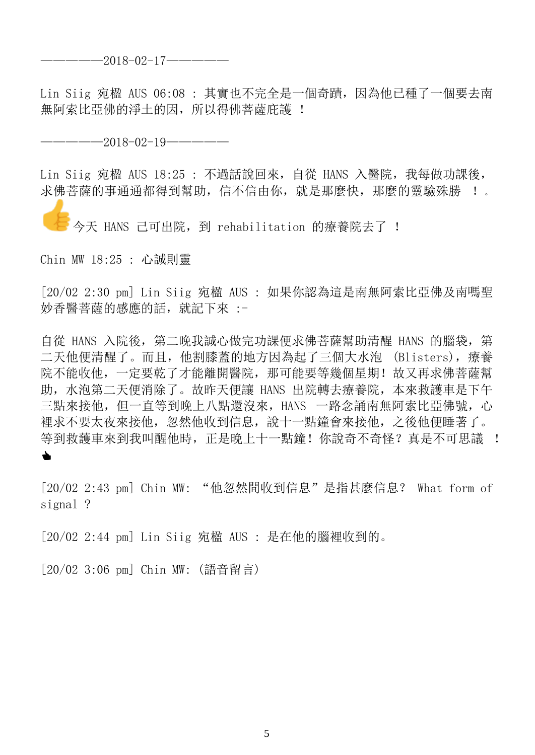## —————2018-02-17—————

Lin Siig 宛楹 AUS 06:08 : 其實也不完全是一個奇蹟,因為他已種了一個要去南 無阿索比亞佛的淨土的因,所以得佛菩薩庇護 !

—————2018-02-19—————

Lin Siig 宛楹 AUS 18:25 : 不過話說回來,自從 HANS 入醫院,我每做功課後, 求佛菩薩的事通通都得到幫助,信不信由你,就是那麼快,那麼的靈驗殊勝 !。

今天 HANS 己可出院, 到 rehabilitation 的療養院去了 !

Chin MW 18:25 : 心誠則靈

[20/02 2:30 pm] Lin Siig 宛楹 AUS : 如果你認為這是南無阿索比亞佛及南嗎聖 妙香醫菩薩的感應的話,就記下來 :-

自從 HANS 入院後, 第二晚我誠心做完功課便求佛菩薩幫助清醒 HANS 的腦袋, 第 二天他便清醒了。而且,他割膝蓋的地方因為起了三個大水泡 (Blisters),療養 院不能收他,一定要乾了才能離開醫院,那可能要等幾個星期!故又再求佛菩薩幫 助,水泡第二天便消除了。故昨天便讓 HANS 出院轉去療養院,本來救護車是下午 三點來接他, 但一直等到晚上八點還沒來, HANS 一路念誦南無阿索比亞佛號, 心 裡求不要太夜來接他,忽然他收到信息,說十一點鐘會來接他,之後他便睡著了。 等到救護車來到我叫醒他時,正是晚上十一點鐘!你說奇不奇怪?真是不可思議 !  $\blacklozenge$ 

[20/02 2:43 pm] Chin MW: "他忽然間收到信息"是指甚麼信息? What form of signal ?

[20/02 2:44 pm] Lin Siig 宛楹 AUS : 是在他的腦裡收到的。

[20/02 3:06 pm] Chin MW: (語音留言)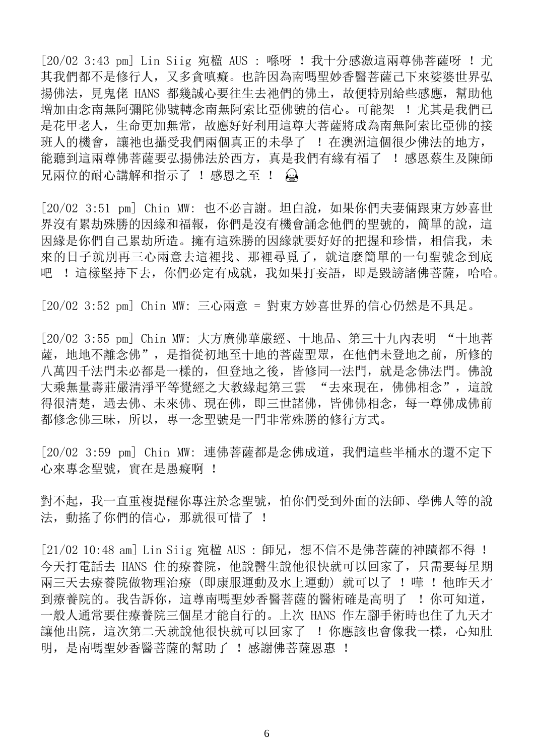[20/02 3:43 pm] Lin Siig 宛楹 AUS : 喺呀 ! 我十分感激這兩尊佛菩薩呀 ! 尤 其我們都不是修行人,又多貪嗔癡。也許因為南嗎聖妙香醫菩薩己下來娑婆世界弘 揚佛法, 見鬼佬 HANS 都幾誠心要往生去祂們的佛土,故便特別給些感應,幫助他 增加由念南無阿彌陀佛號阿索比亞佛號的信心。可能架 ! 尤其是我們已 是花甲老人,生命更加無常,故應好好利用這尊大菩薩將成為南無阿索比亞佛的接 班人的機會,讓祂也攝受我們兩個真正的未學了 ! 在澳洲這個很少佛法的地方, 能聽到這兩尊佛菩薩要弘揚佛法於西方, 真是我們有緣有福了 ! 感恩蔡生及陳師 兄兩位的耐心講解和指示了 ! 感恩之至 ! 為

[20/02 3:51 pm] Chin MW: 也不必言謝。坦白說,如果你們夫妻倆跟東方妙喜世 界沒有累劫殊勝的因緣和福報, 你們是沒有機會誦念他們的聖號的, 簡單的說, 這 因緣是你們自己累劫所造。擁有這殊勝的因緣就要好好的把握和珍惜,相信我,未 來的日子就別再三心兩意去這裡找、那裡尋覓了,就這麼簡單的一句聖號念到底 吧 !這樣堅持下去,你們必定有成就,我如果打妄語,即是毀謗諸佛菩薩,哈哈。

[20/02 3:52 pm] Chin MW: 三心兩意 = 對東方妙喜世界的信心仍然是不具足。

[20/02 3:55 pm] Chin MW: 大方廣佛華嚴經、十地品、第三十九內表明 "十地菩 薩,地地不離念佛",是指從初地至十地的菩薩聖眾,在他們未登地之前,所修的 八萬四千法門未必都是一樣的,但登地之後,皆修同一法門,就是念佛法門。佛說 大乘無量壽莊嚴清淨平等覺經之大教緣起第三雲 "去來現在,佛佛相念",這說 得很清楚,過去佛、未來佛、現在佛,即三世諸佛,皆佛佛相念,每一尊佛成佛前 都修念佛三昧,所以,專一念聖號是一門非常殊勝的修行方式。

[20/02 3:59 pm] Chin MW: 連佛菩薩都是念佛成道,我們這些半桶水的還不定下 心來專念聖號,實在是愚癡啊 !

對不起,我一直重複提醒你專注於念聖號,怕你們受到外面的法師、學佛人等的說 法, 動搖了你們的信心, 那就很可惜了 !

[21/02 10:48 am] Lin Siig 宛楹 AUS : 師兄, 想不信不是佛菩薩的神蹟都不得 ! 今天打電話去 HANS 住的療養院,他說醫生說他很快就可以回家了,只需要每星期 兩三天去療養院做物理治療(即康服運動及水上運動)就可以了 ! 嘩 ! 他昨天才 到療養院的。我告訴你,這尊南嗎聖妙香醫菩薩的醫術確是高明了 ! 你可知道, 一般人通常要住療養院三個星才能自行的。上次 HANS 作左腳手術時也住了九天才 讓他出院,這次第二天就說他很快就可以回家了 ! 你應該也會像我一樣, 心知肚 明,是南嗎聖妙香醫菩薩的幫助了!感謝佛菩薩恩惠!

6